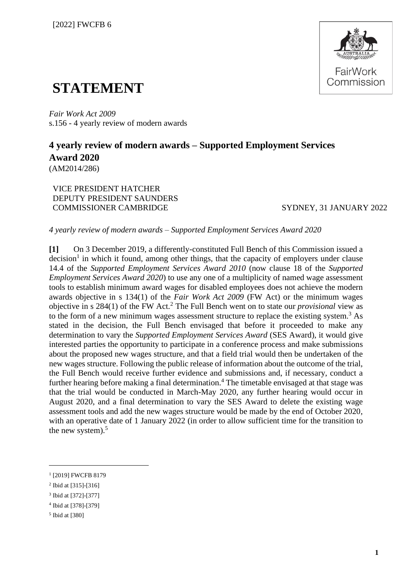

## **STATEMENT**

*Fair Work Act 2009*  s.156 - 4 yearly review of modern awards

## **4 yearly review of modern awards – Supported Employment Services Award 2020** (AM2014/286)

VICE PRESIDENT HATCHER DEPUTY PRESIDENT SAUNDERS COMMISSIONER CAMBRIDGE SYDNEY, 31 JANUARY 2022

*4 yearly review of modern awards – Supported Employment Services Award 2020*

**[1]** On 3 December 2019, a differently-constituted Full Bench of this Commission issued a decision<sup>1</sup> in which it found, among other things, that the capacity of employers under clause 14.4 of the *Supported Employment Services Award 2010* (now clause 18 of the *Supported Employment Services Award 2020*) to use any one of a multiplicity of named wage assessment tools to establish minimum award wages for disabled employees does not achieve the modern awards objective in s 134(1) of the *Fair Work Act 2009* (FW Act) or the minimum wages objective in s 284(1) of the FW Act.<sup>2</sup> The Full Bench went on to state our *provisional* view as to the form of a new minimum wages assessment structure to replace the existing system.<sup>3</sup> As stated in the decision, the Full Bench envisaged that before it proceeded to make any determination to vary the *Supported Employment Services Award* (SES Award), it would give interested parties the opportunity to participate in a conference process and make submissions about the proposed new wages structure, and that a field trial would then be undertaken of the new wages structure. Following the public release of information about the outcome of the trial, the Full Bench would receive further evidence and submissions and, if necessary, conduct a further hearing before making a final determination.<sup>4</sup> The timetable envisaged at that stage was that the trial would be conducted in March-May 2020, any further hearing would occur in August 2020, and a final determination to vary the SES Award to delete the existing wage assessment tools and add the new wages structure would be made by the end of October 2020, with an operative date of 1 January 2022 (in order to allow sufficient time for the transition to the new system). $5$ 

<sup>1</sup> [2019] FWCFB 8179

<sup>&</sup>lt;sup>2</sup> Ibid at [315]-[316]

<sup>3</sup> Ibid at [372]-[377]

<sup>4</sup> Ibid at [378]-[379]

<sup>5</sup> Ibid at [380]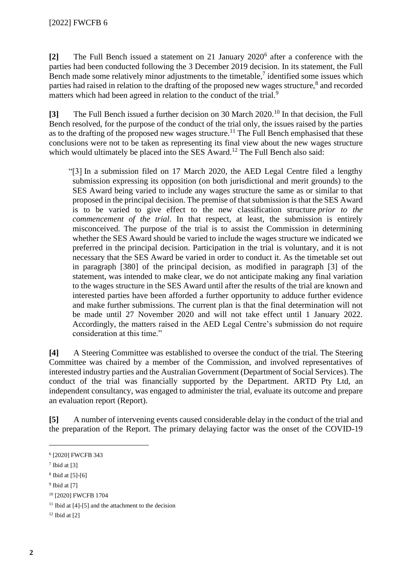**[2]** The Full Bench issued a statement on 21 January 2020<sup>6</sup> after a conference with the parties had been conducted following the 3 December 2019 decision. In its statement, the Full Bench made some relatively minor adjustments to the timetable,<sup>7</sup> identified some issues which parties had raised in relation to the drafting of the proposed new wages structure,<sup>8</sup> and recorded matters which had been agreed in relation to the conduct of the trial.<sup>9</sup>

**[3]** The Full Bench issued a further decision on 30 March 2020. <sup>10</sup> In that decision, the Full Bench resolved, for the purpose of the conduct of the trial only, the issues raised by the parties as to the drafting of the proposed new wages structure.<sup>11</sup> The Full Bench emphasised that these conclusions were not to be taken as representing its final view about the new wages structure which would ultimately be placed into the SES Award.<sup>12</sup> The Full Bench also said:

"[3] In a submission filed on 17 March 2020, the AED Legal Centre filed a lengthy submission expressing its opposition (on both jurisdictional and merit grounds) to the SES Award being varied to include any wages structure the same as or similar to that proposed in the principal decision. The premise of that submission is that the SES Award is to be varied to give effect to the new classification structure *prior to the commencement of the trial*. In that respect, at least, the submission is entirely misconceived. The purpose of the trial is to assist the Commission in determining whether the SES Award should be varied to include the wages structure we indicated we preferred in the principal decision. Participation in the trial is voluntary, and it is not necessary that the SES Award be varied in order to conduct it. As the timetable set out in paragraph [380] of the principal decision, as modified in paragraph [3] of the statement, was intended to make clear, we do not anticipate making any final variation to the wages structure in the SES Award until after the results of the trial are known and interested parties have been afforded a further opportunity to adduce further evidence and make further submissions. The current plan is that the final determination will not be made until 27 November 2020 and will not take effect until 1 January 2022. Accordingly, the matters raised in the AED Legal Centre's submission do not require consideration at this time."

**[4]** A Steering Committee was established to oversee the conduct of the trial. The Steering Committee was chaired by a member of the Commission, and involved representatives of interested industry parties and the Australian Government (Department of Social Services). The conduct of the trial was financially supported by the Department. ARTD Pty Ltd, an independent consultancy, was engaged to administer the trial, evaluate its outcome and prepare an evaluation report (Report).

**[5]** A number of intervening events caused considerable delay in the conduct of the trial and the preparation of the Report. The primary delaying factor was the onset of the COVID-19

<sup>9</sup> Ibid at [7]

 $12$  Ibid at [2]

<sup>6</sup> [2020] FWCFB 343

<sup>7</sup> Ibid at [3]

<sup>8</sup> Ibid at [5]-[6]

<sup>10</sup> [2020] FWCFB 1704

 $11$  Ibid at [4]-[5] and the attachment to the decision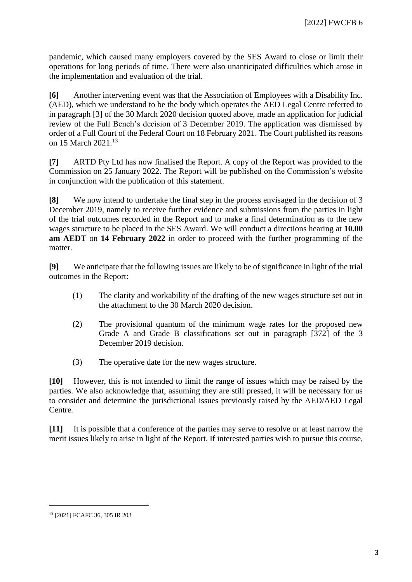pandemic, which caused many employers covered by the SES Award to close or limit their operations for long periods of time. There were also unanticipated difficulties which arose in the implementation and evaluation of the trial.

**[6]** Another intervening event was that the Association of Employees with a Disability Inc. (AED), which we understand to be the body which operates the AED Legal Centre referred to in paragraph [3] of the 30 March 2020 decision quoted above, made an application for judicial review of the Full Bench's decision of 3 December 2019. The application was dismissed by order of a Full Court of the Federal Court on 18 February 2021. The Court published its reasons on 15 March 2021.<sup>13</sup>

**[7]** ARTD Pty Ltd has now finalised the Report. A copy of the Report was provided to the Commission on 25 January 2022. The Report will be published on the Commission's website in conjunction with the publication of this statement.

**[8]** We now intend to undertake the final step in the process envisaged in the decision of 3 December 2019, namely to receive further evidence and submissions from the parties in light of the trial outcomes recorded in the Report and to make a final determination as to the new wages structure to be placed in the SES Award. We will conduct a directions hearing at **10.00 am AEDT** on **14 February 2022** in order to proceed with the further programming of the matter.

**[9]** We anticipate that the following issues are likely to be of significance in light of the trial outcomes in the Report:

- (1) The clarity and workability of the drafting of the new wages structure set out in the attachment to the 30 March 2020 decision.
- (2) The provisional quantum of the minimum wage rates for the proposed new Grade A and Grade B classifications set out in paragraph [372] of the 3 December 2019 decision.
- (3) The operative date for the new wages structure.

**[10]** However, this is not intended to limit the range of issues which may be raised by the parties. We also acknowledge that, assuming they are still pressed, it will be necessary for us to consider and determine the jurisdictional issues previously raised by the AED/AED Legal Centre.

**[11]** It is possible that a conference of the parties may serve to resolve or at least narrow the merit issues likely to arise in light of the Report. If interested parties wish to pursue this course,

<sup>13</sup> [2021] FCAFC 36, 305 IR 203